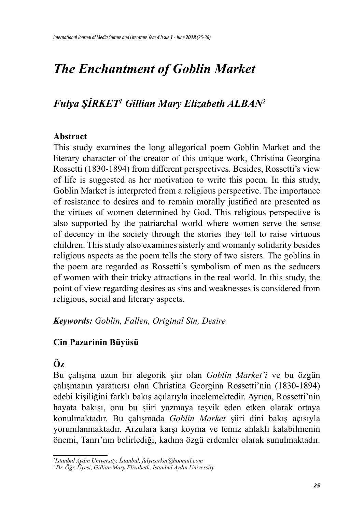# *The Enchantment of Goblin Market*

# *Fulya ŞİRKET<sup>1</sup> Gillian Mary Elizabeth ALBAN<sup>2</sup>*

## **Abstract**

This study examines the long allegorical poem Goblin Market and the literary character of the creator of this unique work, Christina Georgina Rossetti (1830-1894) from different perspectives. Besides, Rossetti's view of life is suggested as her motivation to write this poem. In this study, Goblin Market is interpreted from a religious perspective. The importance of resistance to desires and to remain morally justified are presented as the virtues of women determined by God. This religious perspective is also supported by the patriarchal world where women serve the sense of decency in the society through the stories they tell to raise virtuous children. This study also examines sisterly and womanly solidarity besides religious aspects as the poem tells the story of two sisters. The goblins in the poem are regarded as Rossetti's symbolism of men as the seducers of women with their tricky attractions in the real world. In this study, the point of view regarding desires as sins and weaknesses is considered from religious, social and literary aspects.

*Keywords: Goblin, Fallen, Original Sin, Desire*

## **Cin Pazarinin Büyüsü**

# **Öz**

Bu çalışma uzun bir alegorik şiir olan *Goblin Market'i* ve bu özgün çalışmanın yaratıcısı olan Christina Georgina Rossetti'nin (1830-1894) edebi kişiliğini farklı bakış açılarıyla incelemektedir. Ayrıca, Rossetti'nin hayata bakışı, onu bu şiiri yazmaya teşvik eden etken olarak ortaya konulmaktadır. Bu çalışmada *Goblin Market* şiiri dini bakış açısıyla yorumlanmaktadır. Arzulara karşı koyma ve temiz ahlaklı kalabilmenin önemi, Tanrı'nın belirlediği, kadına özgü erdemler olarak sunulmaktadır.

*<sup>1</sup> Istanbul Aydın University, İstanbul, fulyasirket@hotmail.com*

*<sup>2</sup> Dr. Öğr. Üyesi, Gillian Mary Elizabeth, Istanbul Aydın University*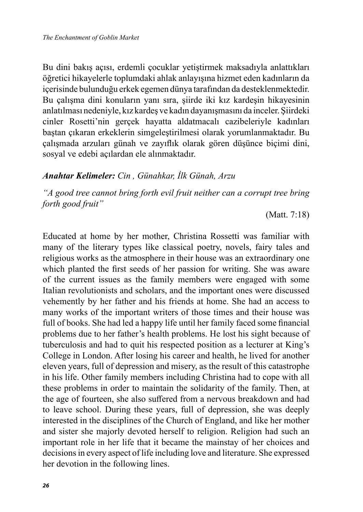Bu dini bakış açısı, erdemli çocuklar yetiştirmek maksadıyla anlattıkları öğretici hikayelerle toplumdaki ahlak anlayışına hizmet eden kadınların da içerisinde bulunduğu erkek egemen dünya tarafından da desteklenmektedir. Bu çalışma dini konuların yanı sıra, şiirde iki kız kardeşin hikayesinin anlatılması nedeniyle, kız kardeş ve kadın dayanışmasını da inceler. Şiirdeki cinler Rosetti'nin gerçek hayatta aldatmacalı cazibeleriyle kadınları baştan çıkaran erkeklerin simgeleştirilmesi olarak yorumlanmaktadır. Bu çalışmada arzuları günah ve zayıflık olarak gören düşünce biçimi dini, sosyal ve edebi açılardan ele alınmaktadır.

## *Anahtar Kelimeler: Cin , Günahkar, İlk Günah, Arzu*

*"A good tree cannot bring forth evil fruit neither can a corrupt tree bring forth good fruit"* 

(Matt. 7:18)

Educated at home by her mother, Christina Rossetti was familiar with many of the literary types like classical poetry, novels, fairy tales and religious works as the atmosphere in their house was an extraordinary one which planted the first seeds of her passion for writing. She was aware of the current issues as the family members were engaged with some Italian revolutionists and scholars, and the important ones were discussed vehemently by her father and his friends at home. She had an access to many works of the important writers of those times and their house was full of books. She had led a happy life until her family faced some financial problems due to her father's health problems. He lost his sight because of tuberculosis and had to quit his respected position as a lecturer at King's College in London. After losing his career and health, he lived for another eleven years, full of depression and misery, as the result of this catastrophe in his life. Other family members including Christina had to cope with all these problems in order to maintain the solidarity of the family. Then, at the age of fourteen, she also suffered from a nervous breakdown and had to leave school. During these years, full of depression, she was deeply interested in the disciplines of the Church of England, and like her mother and sister she majorly devoted herself to religion. Religion had such an important role in her life that it became the mainstay of her choices and decisions in every aspect of life including love and literature. She expressed her devotion in the following lines.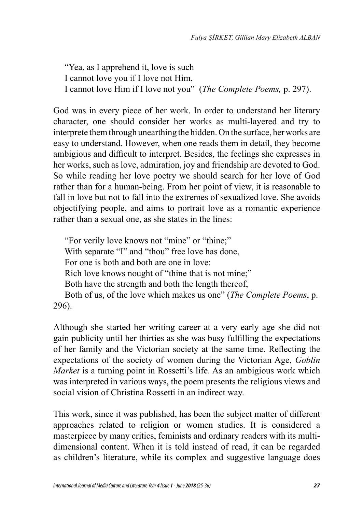"Yea, as I apprehend it, love is such I cannot love you if I love not Him, I cannot love Him if I love not you" (*The Complete Poems,* p. 297).

God was in every piece of her work. In order to understand her literary character, one should consider her works as multi-layered and try to interprete them through unearthing the hidden. On the surface, her works are easy to understand. However, when one reads them in detail, they become ambigious and difficult to interpret. Besides, the feelings she expresses in her works, such as love, admiration, joy and friendship are devoted to God. So while reading her love poetry we should search for her love of God rather than for a human-being. From her point of view, it is reasonable to fall in love but not to fall into the extremes of sexualized love. She avoids objectifying people, and aims to portrait love as a romantic experience rather than a sexual one, as she states in the lines:

 "For verily love knows not "mine" or "thine;" With separate "I" and "thou" free love has done, For one is both and both are one in love: Rich love knows nought of "thine that is not mine;" Both have the strength and both the length thereof, Both of us, of the love which makes us one" (*The Complete Poems*, p. 296).

Although she started her writing career at a very early age she did not gain publicity until her thirties as she was busy fulfilling the expectations of her family and the Victorian society at the same time. Reflecting the expectations of the society of women during the Victorian Age, *Goblin Market* is a turning point in Rossetti's life. As an ambigious work which was interpreted in various ways, the poem presents the religious views and social vision of Christina Rossetti in an indirect way.

This work, since it was published, has been the subject matter of different approaches related to religion or women studies. It is considered a masterpiece by many critics, feminists and ordinary readers with its multidimensional content. When it is told instead of read, it can be regarded as children's literature, while its complex and suggestive language does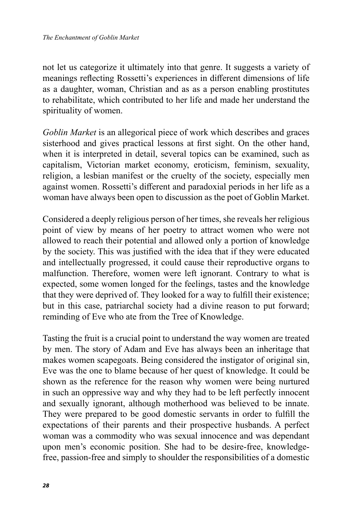not let us categorize it ultimately into that genre. It suggests a variety of meanings reflecting Rossetti's experiences in different dimensions of life as a daughter, woman, Christian and as as a person enabling prostitutes to rehabilitate, which contributed to her life and made her understand the spirituality of women.

*Goblin Market* is an allegorical piece of work which describes and graces sisterhood and gives practical lessons at first sight. On the other hand, when it is interpreted in detail, several topics can be examined, such as capitalism, Victorian market economy, eroticism, feminism, sexuality, religion, a lesbian manifest or the cruelty of the society, especially men against women. Rossetti's different and paradoxial periods in her life as a woman have always been open to discussion as the poet of Goblin Market.

Considered a deeply religious person of her times, she reveals her religious point of view by means of her poetry to attract women who were not allowed to reach their potential and allowed only a portion of knowledge by the society. This was justified with the idea that if they were educated and intellectually progressed, it could cause their reproductive organs to malfunction. Therefore, women were left ignorant. Contrary to what is expected, some women longed for the feelings, tastes and the knowledge that they were deprived of. They looked for a way to fulfill their existence; but in this case, patriarchal society had a divine reason to put forward; reminding of Eve who ate from the Tree of Knowledge.

Tasting the fruit is a crucial point to understand the way women are treated by men. The story of Adam and Eve has always been an inheritage that makes women scapegoats. Being considered the instigator of original sin, Eve was the one to blame because of her quest of knowledge. It could be shown as the reference for the reason why women were being nurtured in such an oppressive way and why they had to be left perfectly innocent and sexually ignorant, although motherhood was believed to be innate. They were prepared to be good domestic servants in order to fulfill the expectations of their parents and their prospective husbands. A perfect woman was a commodity who was sexual innocence and was dependant upon men's economic position. She had to be desire-free, knowledgefree, passion-free and simply to shoulder the responsibilities of a domestic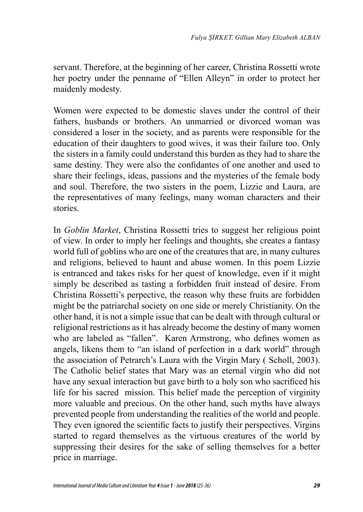servant. Therefore, at the beginning of her career, Christina Rossetti wrote her poetry under the penname of "Ellen Alleyn" in order to protect her maidenly modesty.

Women were expected to be domestic slaves under the control of their fathers, husbands or brothers. An unmarried or divorced woman was considered a loser in the society, and as parents were responsible for the education of their daughters to good wives, it was their failure too. Only the sisters in a family could understand this burden as they had to share the same destiny. They were also the confidantes of one another and used to share their feelings, ideas, passions and the mysteries of the female body and soul. Therefore, the two sisters in the poem, Lizzie and Laura, are the representatives of many feelings, many woman characters and their stories.

In *Goblin Market*, Christina Rossetti tries to suggest her religious point of view. In order to imply her feelings and thoughts, she creates a fantasy world full of goblins who are one of the creatures that are, in many cultures and religions, believed to haunt and abuse women. In this poem Lizzie is entranced and takes risks for her quest of knowledge, even if it might simply be described as tasting a forbidden fruit instead of desire. From Christina Rossetti's perpective, the reason why these fruits are forbidden might be the patriarchal society on one side or merely Christianity. On the other hand, it is not a simple issue that can be dealt with through cultural or religional restrictions as it has already become the destiny of many women who are labeled as "fallen". Karen Armstrong, who defines women as angels, likens them to "an island of perfection in a dark world" through the association of Petrarch's Laura with the Virgin Mary ( Scholl, 2003). The Catholic belief states that Mary was an eternal virgin who did not have any sexual interaction but gave birth to a holy son who sacrificed his life for his sacred mission. This belief made the perception of virginity more valuable and precious. On the other hand, such myths have always prevented people from understanding the realities of the world and people. They even ignored the scientific facts to justify their perspectives. Virgins started to regard themselves as the virtuous creatures of the world by suppressing their desires for the sake of selling themselves for a better price in marriage.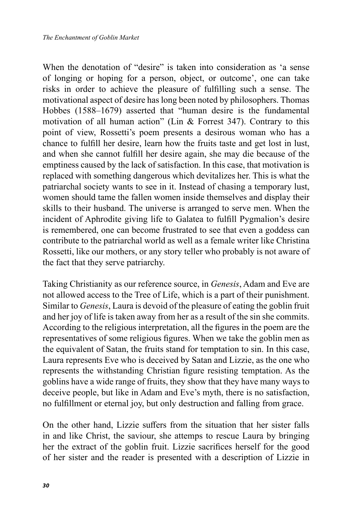When the denotation of "desire" is taken into consideration as 'a sense of longing or hoping for a person, object, or outcome', one can take risks in order to achieve the pleasure of fulfilling such a sense. The motivational aspect of desire has long been noted by philosophers. Thomas Hobbes (1588–1679) asserted that "human desire is the fundamental motivation of all human action" (Lin & Forrest 347). Contrary to this point of view, Rossetti's poem presents a desirous woman who has a chance to fulfill her desire, learn how the fruits taste and get lost in lust, and when she cannot fulfill her desire again, she may die because of the emptiness caused by the lack of satisfaction. In this case, that motivation is replaced with something dangerous which devitalizes her. This is what the patriarchal society wants to see in it. Instead of chasing a temporary lust, women should tame the fallen women inside themselves and display their skills to their husband. The universe is arranged to serve men. When the incident of Aphrodite giving life to Galatea to fulfill Pygmalion's desire is remembered, one can become frustrated to see that even a goddess can contribute to the patriarchal world as well as a female writer like Christina Rossetti, like our mothers, or any story teller who probably is not aware of the fact that they serve patriarchy.

Taking Christianity as our reference source, in *Genesis*, Adam and Eve are not allowed access to the Tree of Life, which is a part of their punishment. Similar to *Genesis*, Laura is devoid of the pleasure of eating the goblin fruit and her joy of life is taken away from her as a result of the sin she commits. According to the religious interpretation, all the figures in the poem are the representatives of some religious figures. When we take the goblin men as the equivalent of Satan, the fruits stand for temptation to sin. In this case, Laura represents Eve who is deceived by Satan and Lizzie, as the one who represents the withstanding Christian figure resisting temptation. As the goblins have a wide range of fruits, they show that they have many ways to deceive people, but like in Adam and Eve's myth, there is no satisfaction, no fulfillment or eternal joy, but only destruction and falling from grace.

On the other hand, Lizzie suffers from the situation that her sister falls in and like Christ, the saviour, she attemps to rescue Laura by bringing her the extract of the goblin fruit. Lizzie sacrifices herself for the good of her sister and the reader is presented with a description of Lizzie in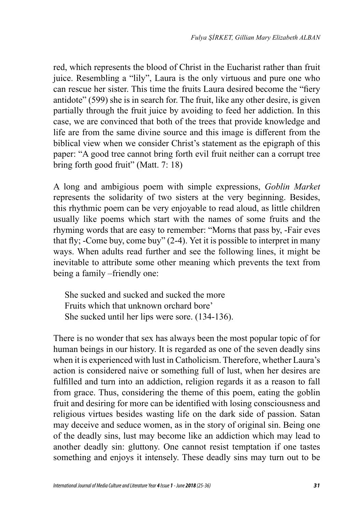red, which represents the blood of Christ in the Eucharist rather than fruit juice. Resembling a "lily", Laura is the only virtuous and pure one who can rescue her sister. This time the fruits Laura desired become the "fiery antidote" (599) she is in search for. The fruit, like any other desire, is given partially through the fruit juice by avoiding to feed her addiction. In this case, we are convinced that both of the trees that provide knowledge and life are from the same divine source and this image is different from the biblical view when we consider Christ's statement as the epigraph of this paper: "A good tree cannot bring forth evil fruit neither can a corrupt tree bring forth good fruit" (Matt. 7: 18)

A long and ambigious poem with simple expressions, *Goblin Market* represents the solidarity of two sisters at the very beginning. Besides, this rhythmic poem can be very enjoyable to read aloud, as little children usually like poems which start with the names of some fruits and the rhyming words that are easy to remember: "Morns that pass by, -Fair eves that fly; -Come buy, come buy" (2-4). Yet it is possible to interpret in many ways. When adults read further and see the following lines, it might be inevitable to attribute some other meaning which prevents the text from being a family –friendly one:

 She sucked and sucked and sucked the more Fruits which that unknown orchard bore' She sucked until her lips were sore. (134-136).

There is no wonder that sex has always been the most popular topic of for human beings in our history. It is regarded as one of the seven deadly sins when it is experienced with lust in Catholicism. Therefore, whether Laura's action is considered naive or something full of lust, when her desires are fulfilled and turn into an addiction, religion regards it as a reason to fall from grace. Thus, considering the theme of this poem, eating the goblin fruit and desiring for more can be identified with losing consciousness and religious virtues besides wasting life on the dark side of passion. Satan may deceive and seduce women, as in the story of original sin. Being one of the deadly sins, lust may become like an addiction which may lead to another deadly sin: gluttony. One cannot resist temptation if one tastes something and enjoys it intensely. These deadly sins may turn out to be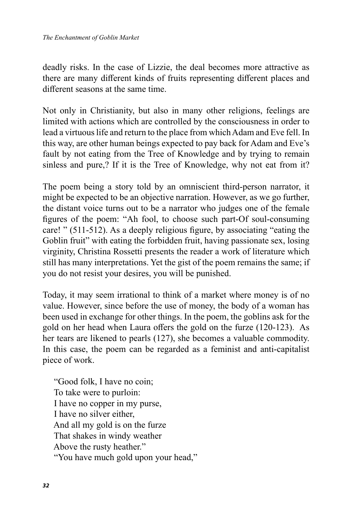deadly risks. In the case of Lizzie, the deal becomes more attractive as there are many different kinds of fruits representing different places and different seasons at the same time.

Not only in Christianity, but also in many other religions, feelings are limited with actions which are controlled by the consciousness in order to lead a virtuous life and return to the place from which Adam and Eve fell. In this way, are other human beings expected to pay back for Adam and Eve's fault by not eating from the Tree of Knowledge and by trying to remain sinless and pure,? If it is the Tree of Knowledge, why not eat from it?

The poem being a story told by an omniscient third-person narrator, it might be expected to be an objective narration. However, as we go further, the distant voice turns out to be a narrator who judges one of the female figures of the poem: "Ah fool, to choose such part-Of soul-consuming care! " (511-512). As a deeply religious figure, by associating "eating the Goblin fruit" with eating the forbidden fruit, having passionate sex, losing virginity, Christina Rossetti presents the reader a work of literature which still has many interpretations. Yet the gist of the poem remains the same; if you do not resist your desires, you will be punished.

Today, it may seem irrational to think of a market where money is of no value. However, since before the use of money, the body of a woman has been used in exchange for other things. In the poem, the goblins ask for the gold on her head when Laura offers the gold on the furze (120-123). As her tears are likened to pearls (127), she becomes a valuable commodity. In this case, the poem can be regarded as a feminist and anti-capitalist piece of work.

 "Good folk, I have no coin; To take were to purloin: I have no copper in my purse, I have no silver either, And all my gold is on the furze That shakes in windy weather Above the rusty heather." "You have much gold upon your head,"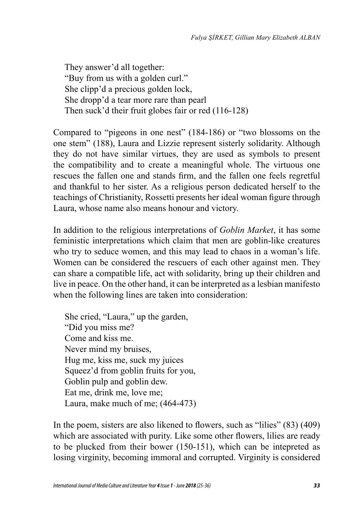They answer'd all together: "Buy from us with a golden curl." She clipp'd a precious golden lock, She dropp'd a tear more rare than pearl Then suck'd their fruit globes fair or red (116-128)

Compared to "pigeons in one nest" (184-186) or "two blossoms on the one stem" (188), Laura and Lizzie represent sisterly solidarity. Although they do not have similar virtues, they are used as symbols to present the compatibility and to create a meaningful whole. The virtuous one rescues the fallen one and stands firm, and the fallen one feels regretful and thankful to her sister. As a religious person dedicated herself to the teachings of Christianity, Rossetti presents her ideal woman figure through Laura, whose name also means honour and victory.

In addition to the religious interpretations of *Goblin Market*, it has some feministic interpretations which claim that men are goblin-like creatures who try to seduce women, and this may lead to chaos in a woman's life. Women can be considered the rescuers of each other against men. They can share a compatible life, act with solidarity, bring up their children and live in peace. On the other hand, it can be interpreted as a lesbian manifesto when the following lines are taken into consideration:

 She cried, "Laura," up the garden, "Did you miss me? Come and kiss me. Never mind my bruises, Hug me, kiss me, suck my juices Squeez'd from goblin fruits for you, Goblin pulp and goblin dew. Eat me, drink me, love me; Laura, make much of me; (464-473)

In the poem, sisters are also likened to flowers, such as "lilies" (83) (409) which are associated with purity. Like some other flowers, lilies are ready to be plucked from their bower (150-151), which can be intepreted as losing virginity, becoming immoral and corrupted. Virginity is considered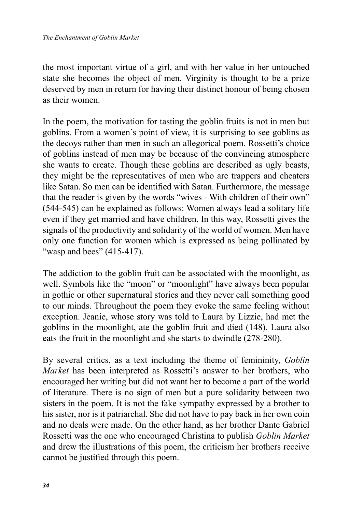the most important virtue of a girl, and with her value in her untouched state she becomes the object of men. Virginity is thought to be a prize deserved by men in return for having their distinct honour of being chosen as their women.

In the poem, the motivation for tasting the goblin fruits is not in men but goblins. From a women's point of view, it is surprising to see goblins as the decoys rather than men in such an allegorical poem. Rossetti's choice of goblins instead of men may be because of the convincing atmosphere she wants to create. Though these goblins are described as ugly beasts, they might be the representatives of men who are trappers and cheaters like Satan. So men can be identified with Satan. Furthermore, the message that the reader is given by the words "wives - With children of their own" (544-545) can be explained as follows: Women always lead a solitary life even if they get married and have children. In this way, Rossetti gives the signals of the productivity and solidarity of the world of women. Men have only one function for women which is expressed as being pollinated by "wasp and bees" (415-417).

The addiction to the goblin fruit can be associated with the moonlight, as well. Symbols like the "moon" or "moonlight" have always been popular in gothic or other supernatural stories and they never call something good to our minds. Throughout the poem they evoke the same feeling without exception. Jeanie, whose story was told to Laura by Lizzie, had met the goblins in the moonlight, ate the goblin fruit and died (148). Laura also eats the fruit in the moonlight and she starts to dwindle (278-280).

By several critics, as a text including the theme of femininity, *Goblin Market* has been interpreted as Rossetti's answer to her brothers, who encouraged her writing but did not want her to become a part of the world of literature. There is no sign of men but a pure solidarity between two sisters in the poem. It is not the fake sympathy expressed by a brother to his sister, nor is it patriarchal. She did not have to pay back in her own coin and no deals were made. On the other hand, as her brother Dante Gabriel Rossetti was the one who encouraged Christina to publish *Goblin Market* and drew the illustrations of this poem, the criticism her brothers receive cannot be justified through this poem.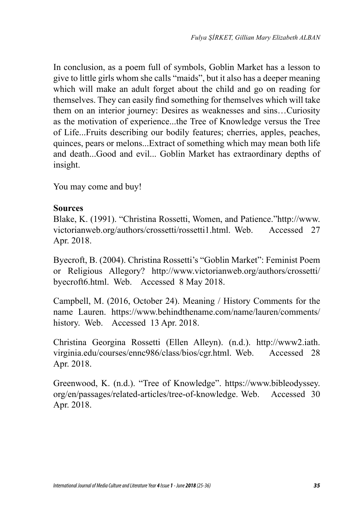In conclusion, as a poem full of symbols, Goblin Market has a lesson to give to little girls whom she calls "maids", but it also has a deeper meaning which will make an adult forget about the child and go on reading for themselves. They can easily find something for themselves which will take them on an interior journey: Desires as weaknesses and sins…Curiosity as the motivation of experience...the Tree of Knowledge versus the Tree of Life...Fruits describing our bodily features; cherries, apples, peaches, quinces, pears or melons...Extract of something which may mean both life and death...Good and evil... Goblin Market has extraordinary depths of insight.

You may come and buy!

#### **Sources**

Blake, K. (1991). "Christina Rossetti, Women, and Patience."http://www. victorianweb.org/authors/crossetti/rossetti1.html. Web. Accessed 27 Apr. 2018.

Byecroft, B. (2004). Christina Rossetti's "Goblin Market": Feminist Poem or Religious Allegory? http://www.victorianweb.org/authors/crossetti/ byecroft6.html. Web. Accessed 8 May 2018.

Campbell, M. (2016, October 24). Meaning / History Comments for the name Lauren. https://www.behindthename.com/name/lauren/comments/ history. Web. Accessed 13 Apr. 2018.

Christina Georgina Rossetti (Ellen Alleyn). (n.d.). http://www2.iath. virginia.edu/courses/ennc986/class/bios/cgr.html. Web. Accessed 28 Apr. 2018.

Greenwood, K. (n.d.). "Tree of Knowledge". https://www.bibleodyssey. org/en/passages/related-articles/tree-of-knowledge. Web. Accessed 30 Apr. 2018.